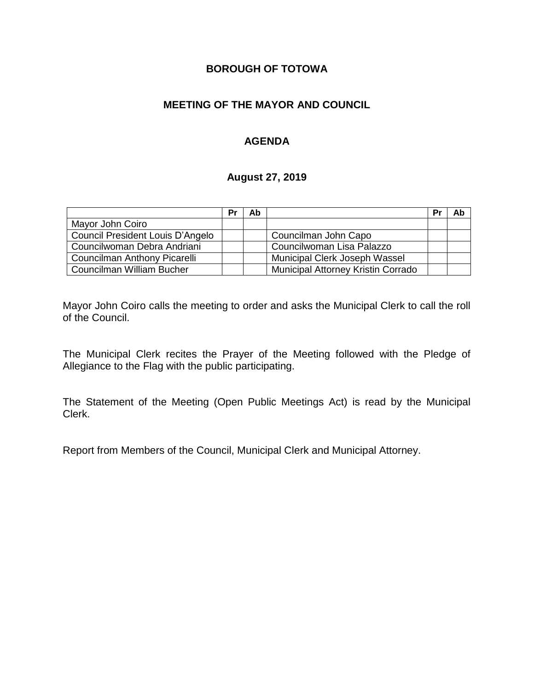# **BOROUGH OF TOTOWA**

# **MEETING OF THE MAYOR AND COUNCIL**

# **AGENDA**

#### **August 27, 2019**

|                                  | Pr | Ab |                                    | Pr | Ab |
|----------------------------------|----|----|------------------------------------|----|----|
| Mayor John Coiro                 |    |    |                                    |    |    |
| Council President Louis D'Angelo |    |    | Councilman John Capo               |    |    |
| Councilwoman Debra Andriani      |    |    | Councilwoman Lisa Palazzo          |    |    |
| Councilman Anthony Picarelli     |    |    | Municipal Clerk Joseph Wassel      |    |    |
| Councilman William Bucher        |    |    | Municipal Attorney Kristin Corrado |    |    |

Mayor John Coiro calls the meeting to order and asks the Municipal Clerk to call the roll of the Council.

The Municipal Clerk recites the Prayer of the Meeting followed with the Pledge of Allegiance to the Flag with the public participating.

The Statement of the Meeting (Open Public Meetings Act) is read by the Municipal Clerk.

Report from Members of the Council, Municipal Clerk and Municipal Attorney.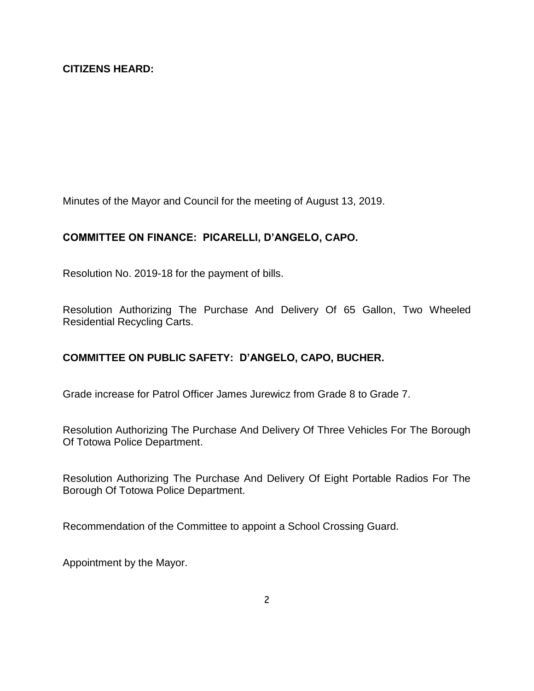Minutes of the Mayor and Council for the meeting of August 13, 2019.

# **COMMITTEE ON FINANCE: PICARELLI, D'ANGELO, CAPO.**

Resolution No. 2019-18 for the payment of bills.

Resolution Authorizing The Purchase And Delivery Of 65 Gallon, Two Wheeled Residential Recycling Carts.

# **COMMITTEE ON PUBLIC SAFETY: D'ANGELO, CAPO, BUCHER.**

Grade increase for Patrol Officer James Jurewicz from Grade 8 to Grade 7.

Resolution Authorizing The Purchase And Delivery Of Three Vehicles For The Borough Of Totowa Police Department.

Resolution Authorizing The Purchase And Delivery Of Eight Portable Radios For The Borough Of Totowa Police Department.

Recommendation of the Committee to appoint a School Crossing Guard.

Appointment by the Mayor.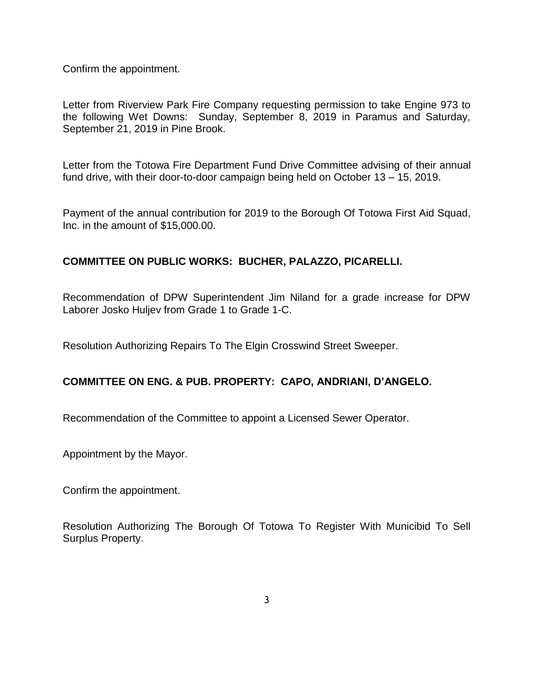Confirm the appointment.

Letter from Riverview Park Fire Company requesting permission to take Engine 973 to the following Wet Downs: Sunday, September 8, 2019 in Paramus and Saturday, September 21, 2019 in Pine Brook.

Letter from the Totowa Fire Department Fund Drive Committee advising of their annual fund drive, with their door-to-door campaign being held on October 13 – 15, 2019.

Payment of the annual contribution for 2019 to the Borough Of Totowa First Aid Squad, Inc. in the amount of \$15,000.00.

## **COMMITTEE ON PUBLIC WORKS: BUCHER, PALAZZO, PICARELLI.**

Recommendation of DPW Superintendent Jim Niland for a grade increase for DPW Laborer Josko Huljev from Grade 1 to Grade 1-C.

Resolution Authorizing Repairs To The Elgin Crosswind Street Sweeper.

#### **COMMITTEE ON ENG. & PUB. PROPERTY: CAPO, ANDRIANI, D'ANGELO.**

Recommendation of the Committee to appoint a Licensed Sewer Operator.

Appointment by the Mayor.

Confirm the appointment.

Resolution Authorizing The Borough Of Totowa To Register With Municibid To Sell Surplus Property.